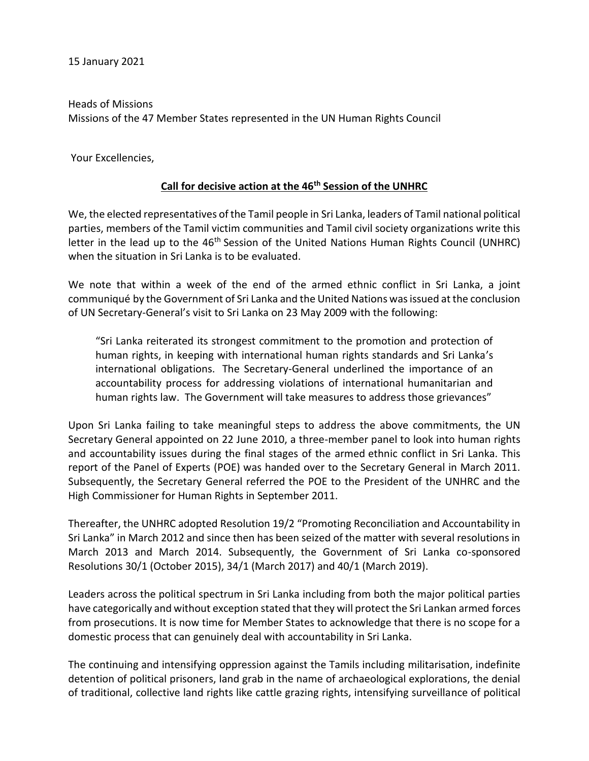15 January 2021

Heads of Missions Missions of the 47 Member States represented in the UN Human Rights Council

Your Excellencies,

## **Call for decisive action at the 46th Session of the UNHRC**

We, the elected representatives of the Tamil people in Sri Lanka, leaders of Tamil national political parties, members of the Tamil victim communities and Tamil civil society organizations write this letter in the lead up to the 46<sup>th</sup> Session of the United Nations Human Rights Council (UNHRC) when the situation in Sri Lanka is to be evaluated.

We note that within a week of the end of the armed ethnic conflict in Sri Lanka, a joint communiqué by the Government of Sri Lanka and the United Nations was issued at the conclusion of UN Secretary-General's visit to Sri Lanka on 23 May 2009 with the following:

"Sri Lanka reiterated its strongest commitment to the promotion and protection of human rights, in keeping with international human rights standards and Sri Lanka's international obligations. The Secretary-General underlined the importance of an accountability process for addressing violations of international humanitarian and human rights law. The Government will take measures to address those grievances"

Upon Sri Lanka failing to take meaningful steps to address the above commitments, the UN Secretary General appointed on 22 June 2010, a three-member panel to look into human rights and accountability issues during the final stages of the armed ethnic conflict in Sri Lanka. This report of the Panel of Experts (POE) was handed over to the Secretary General in March 2011. Subsequently, the Secretary General referred the POE to the President of the UNHRC and the High Commissioner for Human Rights in September 2011.

Thereafter, the UNHRC adopted Resolution 19/2 "Promoting Reconciliation and Accountability in Sri Lanka" in March 2012 and since then has been seized of the matter with several resolutions in March 2013 and March 2014. Subsequently, the Government of Sri Lanka co-sponsored Resolutions 30/1 (October 2015), 34/1 (March 2017) and 40/1 (March 2019).

Leaders across the political spectrum in Sri Lanka including from both the major political parties have categorically and without exception stated that they will protect the Sri Lankan armed forces from prosecutions. It is now time for Member States to acknowledge that there is no scope for a domestic process that can genuinely deal with accountability in Sri Lanka.

The continuing and intensifying oppression against the Tamils including militarisation, indefinite detention of political prisoners, land grab in the name of archaeological explorations, the denial of traditional, collective land rights like cattle grazing rights, intensifying surveillance of political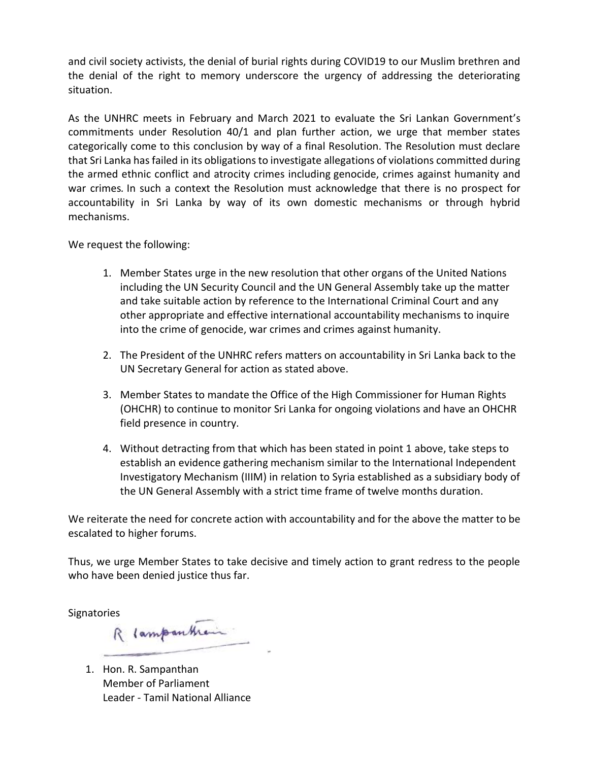and civil society activists, the denial of burial rights during COVID19 to our Muslim brethren and the denial of the right to memory underscore the urgency of addressing the deteriorating situation.

As the UNHRC meets in February and March 2021 to evaluate the Sri Lankan Government's commitments under Resolution 40/1 and plan further action, we urge that member states categorically come to this conclusion by way of a final Resolution. The Resolution must declare that Sri Lanka has failed in its obligations to investigate allegations of violations committed during the armed ethnic conflict and atrocity crimes including genocide, crimes against humanity and war crimes*.* In such a context the Resolution must acknowledge that there is no prospect for accountability in Sri Lanka by way of its own domestic mechanisms or through hybrid mechanisms.

We request the following:

- 1. Member States urge in the new resolution that other organs of the United Nations including the UN Security Council and the UN General Assembly take up the matter and take suitable action by reference to the International Criminal Court and any other appropriate and effective international accountability mechanisms to inquire into the crime of genocide, war crimes and crimes against humanity.
- 2. The President of the UNHRC refers matters on accountability in Sri Lanka back to the UN Secretary General for action as stated above.
- 3. Member States to mandate the Office of the High Commissioner for Human Rights (OHCHR) to continue to monitor Sri Lanka for ongoing violations and have an OHCHR field presence in country.
- 4. Without detracting from that which has been stated in point 1 above, take steps to establish an evidence gathering mechanism similar to the International Independent Investigatory Mechanism (IIIM) in relation to Syria established as a subsidiary body of the UN General Assembly with a strict time frame of twelve months duration.

We reiterate the need for concrete action with accountability and for the above the matter to be escalated to higher forums.

Thus, we urge Member States to take decisive and timely action to grant redress to the people who have been denied justice thus far.

Signatories<br>R lampantham

1. Hon. R. Sampanthan Member of Parliament Leader - Tamil National Alliance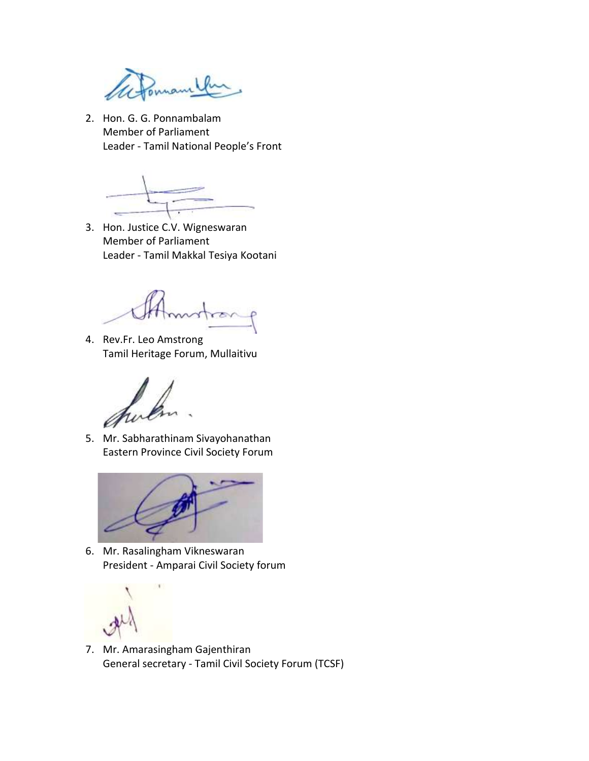onnam

2. Hon. G. G. Ponnambalam Member of Parliament Leader - Tamil National People's Front

3. Hon. Justice C.V. Wigneswaran Member of Parliament Leader - Tamil Makkal Tesiya Kootani

4. Rev.Fr. Leo Amstrong Tamil Heritage Forum, Mullaitivu

5. Mr. Sabharathinam Sivayohanathan Eastern Province Civil Society Forum



6. Mr. Rasalingham Vikneswaran President - Amparai Civil Society forum

7. Mr. Amarasingham Gajenthiran General secretary - Tamil Civil Society Forum (TCSF)